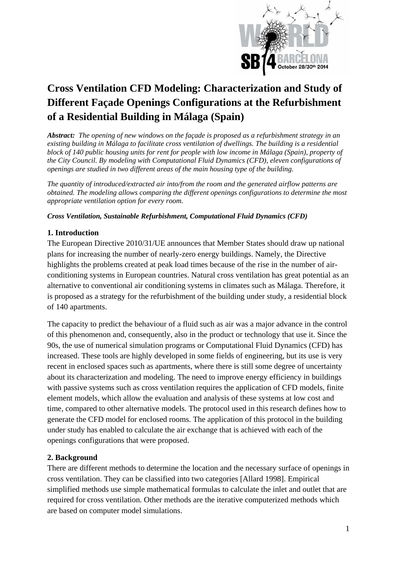

# **Cross Ventilation CFD Modeling: Characterization and Study of Different Façade Openings Configurations at the Refurbishment of a Residential Building in Málaga (Spain)**

*Abstract: The opening of new windows on the façade is proposed as a refurbishment strategy in an existing building in Málaga to facilitate cross ventilation of dwellings. The building is a residential block of 140 public housing units for rent for people with low income in Málaga (Spain), property of the City Council. By modeling with Computational Fluid Dynamics (CFD), eleven configurations of openings are studied in two different areas of the main housing type of the building.*

*The quantity of introduced/extracted air into/from the room and the generated airflow patterns are obtained. The modeling allows comparing the different openings configurations to determine the most appropriate ventilation option for every room.* 

*Cross Ventilation, Sustainable Refurbishment, Computational Fluid Dynamics (CFD)* 

### **1. Introduction**

The European Directive 2010/31/UE announces that Member States should draw up national plans for increasing the number of nearly-zero energy buildings. Namely, the Directive highlights the problems created at peak load times because of the rise in the number of airconditioning systems in European countries. Natural cross ventilation has great potential as an alternative to conventional air conditioning systems in climates such as Málaga. Therefore, it is proposed as a strategy for the refurbishment of the building under study, a residential block of 140 apartments.

The capacity to predict the behaviour of a fluid such as air was a major advance in the control of this phenomenon and, consequently, also in the product or technology that use it. Since the 90s, the use of numerical simulation programs or Computational Fluid Dynamics (CFD) has increased. These tools are highly developed in some fields of engineering, but its use is very recent in enclosed spaces such as apartments, where there is still some degree of uncertainty about its characterization and modeling. The need to improve energy efficiency in buildings with passive systems such as cross ventilation requires the application of CFD models, finite element models, which allow the evaluation and analysis of these systems at low cost and time, compared to other alternative models. The protocol used in this research defines how to generate the CFD model for enclosed rooms. The application of this protocol in the building under study has enabled to calculate the air exchange that is achieved with each of the openings configurations that were proposed.

#### **2. Background**

There are different methods to determine the location and the necessary surface of openings in cross ventilation. They can be classified into two categories [Allard 1998]. Empirical simplified methods use simple mathematical formulas to calculate the inlet and outlet that are required for cross ventilation. Other methods are the iterative computerized methods which are based on computer model simulations.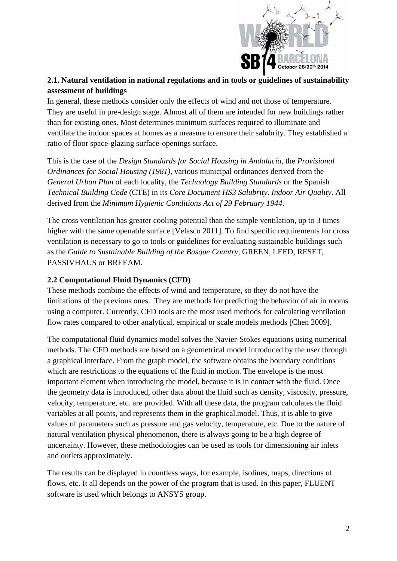

# **2.1. Natural ventilation in national regulations and in tools or guidelines of sustainability assessment of buildings**

In general, these methods consider only the effects of wind and not those of temperature. They are useful in pre-design stage. Almost all of them are intended for new buildings rather than for existing ones. Most determines minimum surfaces required to illuminate and ventilate the indoor spaces at homes as a measure to ensure their salubrity. They established a ratio of floor space-glazing surface-openings surface.

This is the case of the *Design Standards for Social Housing in Andalucía*, the *Provisional Ordinances for Social Housing (1981)*, various municipal ordinances derived from the *General Urban Plan* of each locality, the *Technology Building Standards* or the Spanish *Technical Building Code* (CTE) in its *Core Document HS3 Salubrity. Indoor Air Quality.* All derived from the *Minimum Hygienic Conditions Act of 29 February 1944*.

The cross ventilation has greater cooling potential than the simple ventilation, up to 3 times higher with the same openable surface [Velasco 2011]. To find specific requirements for cross ventilation is necessary to go to tools or guidelines for evaluating sustainable buildings such as the *Guide to Sustainable Building of the Basque Country*, GREEN, LEED, RESET, PASSIVHAUS or BREEAM.

## **2.2 Computational Fluid Dynamics (CFD)**

These methods combine the effects of wind and temperature, so they do not have the limitations of the previous ones. They are methods for predicting the behavior of air in rooms using a computer. Currently, CFD tools are the most used methods for calculating ventilation flow rates compared to other analytical, empirical or scale models methods [Chen 2009].

The computational fluid dynamics model solves the Navier-Stokes equations using numerical methods. The CFD methods are based on a geometrical model introduced by the user through a graphical interface. From the graph model, the software obtains the boundary conditions which are restrictions to the equations of the fluid in motion. The envelope is the most important element when introducing the model, because it is in contact with the fluid. Once the geometry data is introduced, other data about the fluid such as density, viscosity, pressure, velocity, temperature, etc. are provided. With all these data, the program calculates the fluid variables at all points, and represents them in the graphical.model. Thus, it is able to give values of parameters such as pressure and gas velocity, temperature, etc. Due to the nature of natural ventilation physical phenomenon, there is always going to be a high degree of uncertainty. However, these methodologies can be used as tools for dimensioning air inlets and outlets approximately.

The results can be displayed in countless ways, for example, isolines, maps, directions of flows, etc. It all depends on the power of the program that is used. In this paper, FLUENT software is used which belongs to ANSYS group.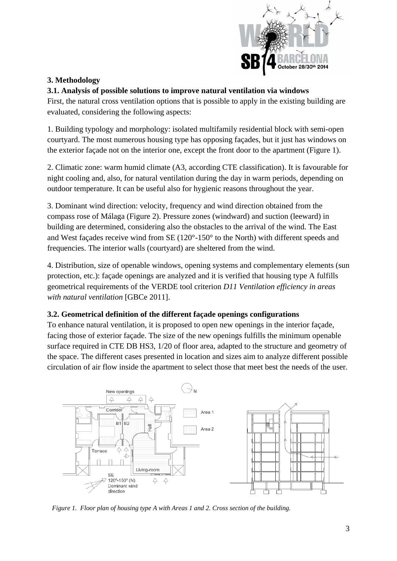

# **3. Methodology**

## **3.1. Analysis of possible solutions to improve natural ventilation via windows**

First, the natural cross ventilation options that is possible to apply in the existing building are evaluated, considering the following aspects:

1. Building typology and morphology: isolated multifamily residential block with semi-open courtyard. The most numerous housing type has opposing façades, but it just has windows on the exterior façade not on the interior one, except the front door to the apartment (Figure 1).

2. Climatic zone: warm humid climate (A3, according CTE classification). It is favourable for night cooling and, also, for natural ventilation during the day in warm periods, depending on outdoor temperature. It can be useful also for hygienic reasons throughout the year.

3. Dominant wind direction: velocity, frequency and wind direction obtained from the compass rose of Málaga (Figure 2). Pressure zones (windward) and suction (leeward) in building are determined, considering also the obstacles to the arrival of the wind. The East and West façades receive wind from SE (120°-150° to the North) with different speeds and frequencies. The interior walls (courtyard) are sheltered from the wind.

4. Distribution, size of openable windows, opening systems and complementary elements (sun protection, etc.): façade openings are analyzed and it is verified that housing type A fulfills geometrical requirements of the VERDE tool criterion *D11 Ventilation efficiency in areas with natural ventilation* [GBCe 2011].

### **3.2. Geometrical definition of the different façade openings configurations**

To enhance natural ventilation, it is proposed to open new openings in the interior façade, facing those of exterior façade. The size of the new openings fulfills the minimum openable surface required in CTE DB HS3, 1/20 of floor area, adapted to the structure and geometry of the space. The different cases presented in location and sizes aim to analyze different possible circulation of air flow inside the apartment to select those that meet best the needs of the user.



*Figure 1. Floor plan of housing type A with Areas 1 and 2. Cross section of the building.*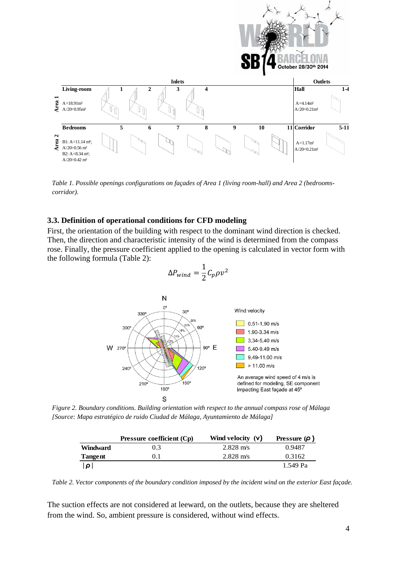

*Table 1. Possible openings configurations on façades of Area 1 (living room-hall) and Area 2 (bedroomscorridor).* 

#### **3.3. Definition of operational conditions for CFD modeling**

First, the orientation of the building with respect to the dominant wind direction is checked. Then, the direction and characteristic intensity of the wind is determined from the compass rose. Finally, the pressure coefficient applied to the opening is calculated in vector form with the following formula (Table 2):

$$
\Delta P_{wind} = \frac{1}{2} C_p \rho v^2
$$



*Figure 2. Boundary conditions. Building orientation with respect to the annual compass rose of Málaga [Source: Mapa estratégico de ruido Ciudad de Málaga, Ayuntamiento de Málaga]*

|                 | <b>Pressure coefficient (Cp)</b> | Wind velocity (v)   | Pressure $(\rho)$ |
|-----------------|----------------------------------|---------------------|-------------------|
| <b>Windward</b> | 0.3                              | $2.828 \text{ m/s}$ | 0.9487            |
| Tangent         | 0.1                              | $2.828 \text{ m/s}$ | 0.3162            |
| $\Omega$        |                                  |                     | 1.549 Pa          |

*Table 2. Vector components of the boundary condition imposed by the incident wind on the exterior East façade.*

The suction effects are not considered at leeward, on the outlets, because they are sheltered from the wind. So, ambient pressure is considered, without wind effects.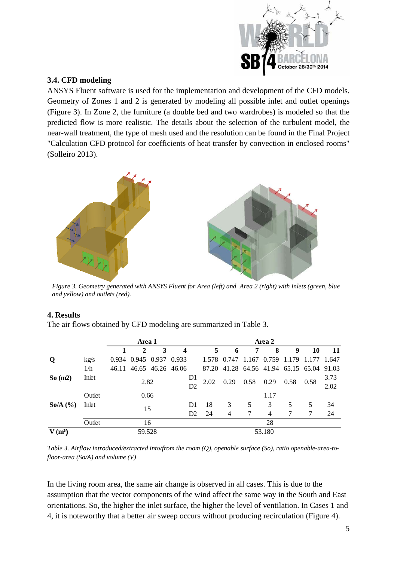

## **3.4. CFD modeling**

ANSYS Fluent software is used for the implementation and development of the CFD models. Geometry of Zones 1 and 2 is generated by modeling all possible inlet and outlet openings (Figure 3). In Zone 2, the furniture (a double bed and two wardrobes) is modeled so that the predicted flow is more realistic. The details about the selection of the turbulent model, the near-wall treatment, the type of mesh used and the resolution can be found in the Final Project "Calculation CFD protocol for coefficients of heat transfer by convection in enclosed rooms" (Solleiro 2013).



 *Figure 3. Geometry generated with ANSYS Fluent for Area (left) and Area 2 (right) with inlets (green, blue and yellow) and outlets (red).*

#### **4. Results**

The air flows obtained by CFD modeling are summarized in Table 3.

|                   |        | Area 1 |              |                         |                         | Area 2               |      |                                           |      |                |       |       |              |
|-------------------|--------|--------|--------------|-------------------------|-------------------------|----------------------|------|-------------------------------------------|------|----------------|-------|-------|--------------|
|                   |        |        | $\mathbf{2}$ | 3                       | $\overline{\mathbf{4}}$ |                      | 5    | 6                                         | 7    | 8              | 9     | 10    | 11           |
| Q                 | kg/s   | 0.934  |              | 0.945 0.937 0.933       |                         |                      |      | 1.578 0.747 1.167 0.759                   |      |                | 1.179 | 1.177 | 1.647        |
|                   | 1/h    |        |              | 46.11 46.65 46.26 46.06 |                         |                      |      | 87.20 41.28 64.56 41.94 65.15 65.04 91.03 |      |                |       |       |              |
| So(m2)            | Inlet  |        | 2.82         |                         |                         | D <sub>1</sub><br>D2 | 2.02 | 0.29                                      | 0.58 | 0.29           | 0.58  | 0.58  | 3.73<br>2.02 |
|                   | Outlet |        | 0.66         |                         |                         |                      |      |                                           |      | 1.17           |       |       |              |
| $\text{So/A}$ (%) | Inlet  |        |              | 15                      |                         | D <sub>1</sub>       | 18   | 3                                         | 5    | 3              | 5     | 5     | 34           |
|                   |        |        |              |                         |                         | D <sub>2</sub>       | 24   | $\overline{4}$                            | 7    | $\overline{4}$ |       |       | 24           |
|                   | Outlet |        |              | 16                      |                         |                      |      |                                           |      | 28             |       |       |              |
| $V(m^3)$          |        |        | 59.528       |                         |                         |                      |      |                                           |      | 53.180         |       |       |              |

*Table 3. Airflow introduced/extracted into/from the room (Q), openable surface (So), ratio openable-area-tofloor-area (So/A) and volume (V)* 

In the living room area, the same air change is observed in all cases. This is due to the assumption that the vector components of the wind affect the same way in the South and East orientations. So, the higher the inlet surface, the higher the level of ventilation. In Cases 1 and 4, it is noteworthy that a better air sweep occurs without producing recirculation (Figure 4).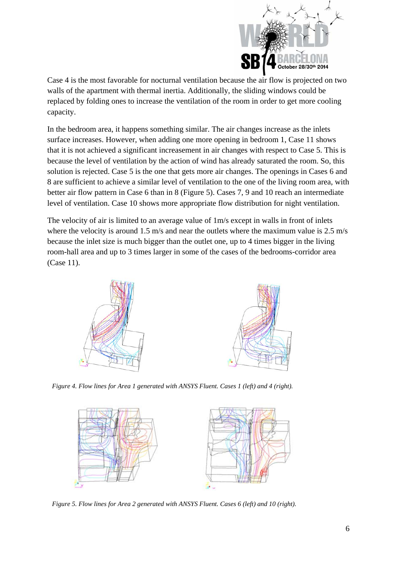

Case 4 is the most favorable for nocturnal ventilation because the air flow is projected on two walls of the apartment with thermal inertia. Additionally, the sliding windows could be replaced by folding ones to increase the ventilation of the room in order to get more cooling capacity.

In the bedroom area, it happens something similar. The air changes increase as the inlets surface increases. However, when adding one more opening in bedroom 1, Case 11 shows that it is not achieved a significant increasement in air changes with respect to Case 5. This is because the level of ventilation by the action of wind has already saturated the room. So, this solution is rejected. Case 5 is the one that gets more air changes. The openings in Cases 6 and 8 are sufficient to achieve a similar level of ventilation to the one of the living room area, with better air flow pattern in Case 6 than in 8 (Figure 5). Cases 7, 9 and 10 reach an intermediate level of ventilation. Case 10 shows more appropriate flow distribution for night ventilation.

The velocity of air is limited to an average value of 1m/s except in walls in front of inlets where the velocity is around 1.5 m/s and near the outlets where the maximum value is 2.5 m/s because the inlet size is much bigger than the outlet one, up to 4 times bigger in the living room-hall area and up to 3 times larger in some of the cases of the bedrooms-corridor area (Case 11).



*Figure 4. Flow lines for Area 1 generated with ANSYS Fluent. Cases 1 (left) and 4 (right).* 



*Figure 5. Flow lines for Area 2 generated with ANSYS Fluent. Cases 6 (left) and 10 (right).*